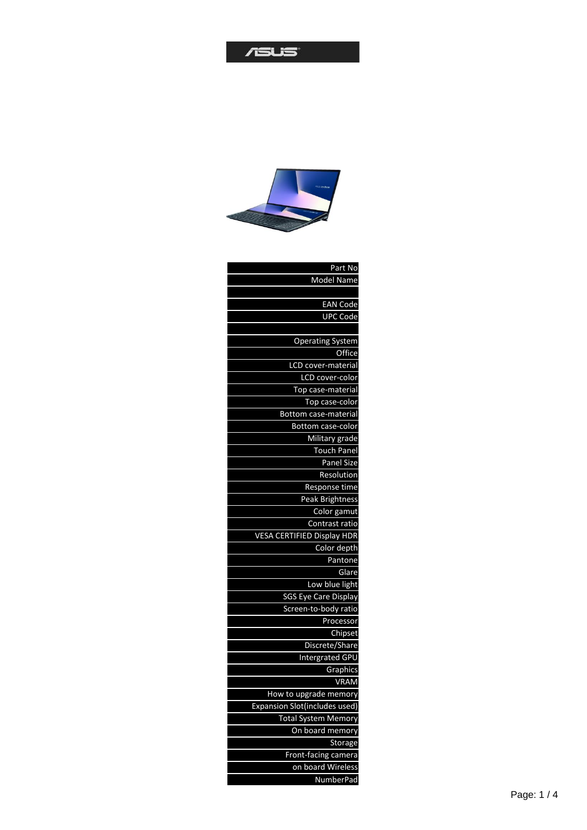

| Part No                           |
|-----------------------------------|
| Model Name                        |
|                                   |
| <b>EAN Code</b>                   |
| <b>UPC Code</b>                   |
|                                   |
| <b>Operating System</b>           |
| Office                            |
| LCD cover-material                |
| LCD cover-color                   |
| Top case-material                 |
| Top case-color                    |
| <b>Bottom case-material</b>       |
| <b>Bottom case-color</b>          |
| Military grade                    |
| <b>Touch Panel</b>                |
| Panel Size                        |
| Resolution                        |
| Response time                     |
| <b>Peak Brightness</b>            |
| Color gamut                       |
| Contrast ratio                    |
| <b>VESA CERTIFIED Display HDR</b> |
| Color depth                       |
| Pantone                           |
| Glare                             |
| Low blue light                    |
| <b>SGS Eye Care Display</b>       |
| Screen-to-body ratio              |
| Processor                         |
| Chipset                           |
| Discrete/Share                    |
| <b>Intergrated GPU</b>            |
| Graphics                          |
| <b>VRAM</b>                       |
| How to upgrade memory             |
| Expansion Slot(includes used)     |
| <b>Total System Memory</b>        |
| On board memory                   |
| Storage                           |
| Front-facing camera               |
| on board Wireless                 |
| NumberPad                         |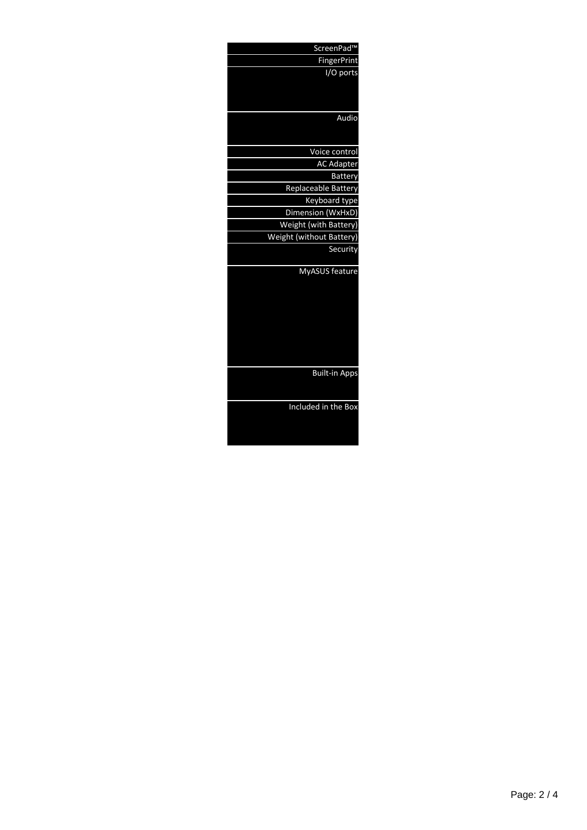| ScreenPad™                      |
|---------------------------------|
| <b>FingerPrint</b>              |
| I/O ports                       |
|                                 |
|                                 |
|                                 |
| Audio                           |
|                                 |
| Voice control                   |
| <b>AC Adapter</b>               |
| <b>Battery</b>                  |
| Replaceable Battery             |
| <b>Keyboard type</b>            |
| Dimension (WxHxD)               |
| Weight (with Battery)           |
| <b>Weight (without Battery)</b> |
| Security                        |
| MyASUS feature                  |
|                                 |
|                                 |
|                                 |
|                                 |
|                                 |
|                                 |
|                                 |
| <b>Built-in Apps</b>            |
|                                 |
|                                 |
| Included in the Box             |
|                                 |
|                                 |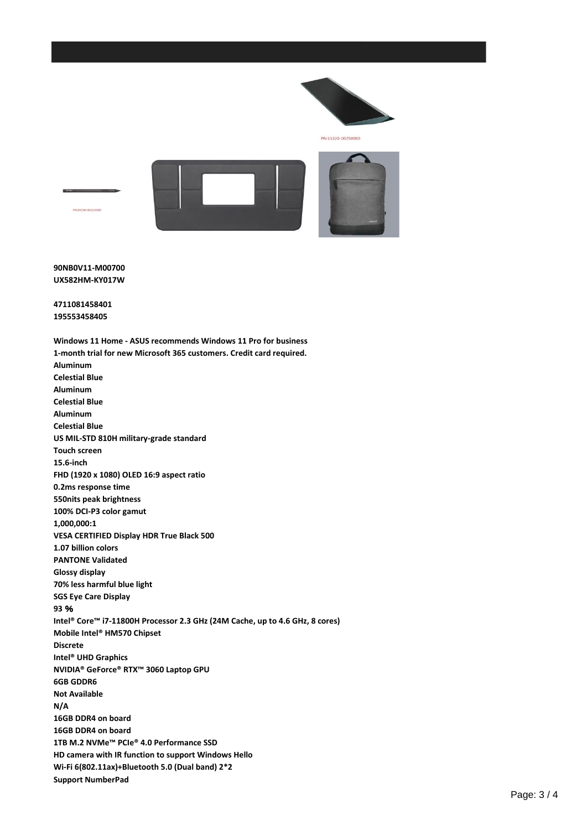

**90NB0V11-M00700 UX582HM-KY017W**

**4711081458401 195553458405**

**Windows 11 Home - ASUS recommends Windows 11 Pro for business 1-month trial for new Microsoft 365 customers. Credit card required. Aluminum Celestial Blue Aluminum Celestial Blue Aluminum Celestial Blue US MIL-STD 810H military-grade standard Touch screen 15.6-inch FHD (1920 x 1080) OLED 16:9 aspect ratio 0.2ms response time 550nits peak brightness 100% DCI-P3 color gamut 1,000,000:1 VESA CERTIFIED Display HDR True Black 500 1.07 billion colors PANTONE Validated Glossy display 70% less harmful blue light SGS Eye Care Display 93** % **Intel® Core™ i7-11800H Processor 2.3 GHz (24M Cache, up to 4.6 GHz, 8 cores) Mobile Intel® HM570 Chipset Discrete Intel® UHD Graphics NVIDIA® GeForce® RTX™ 3060 Laptop GPU 6GB GDDR6 Not Available N/A 16GB DDR4 on board 16GB DDR4 on board 1TB M.2 NVMe™ PCIe® 4.0 Performance SSD HD camera with IR function to support Windows Hello Wi-Fi 6(802.11ax)+Bluetooth 5.0 (Dual band) 2\*2 Support NumberPad**